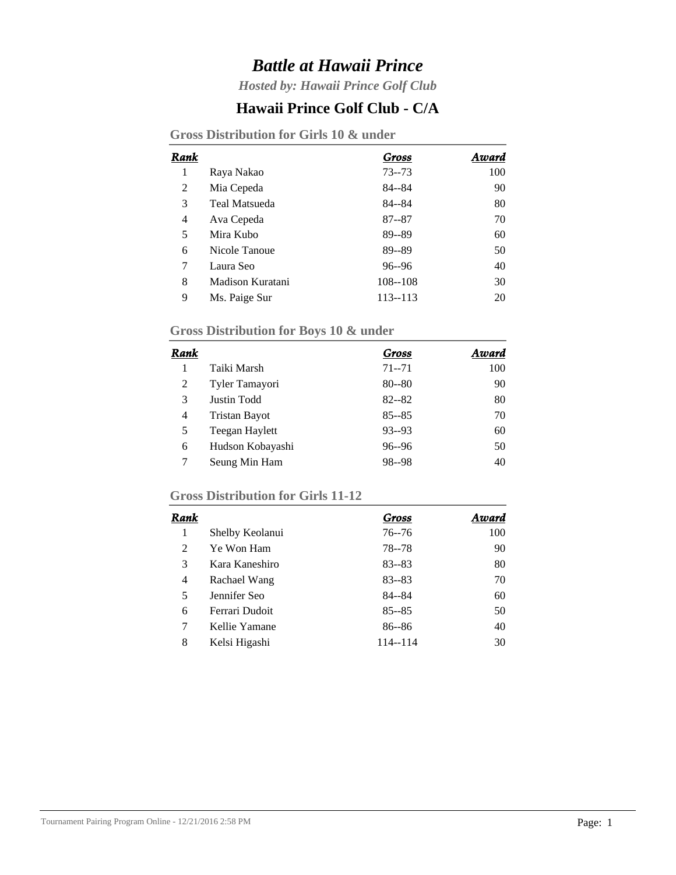# *Battle at Hawaii Prince*

*Hosted by: Hawaii Prince Golf Club*

### **Hawaii Prince Golf Club - C/A**

| Gross Distribution for Girls 10 & under |  |  |  |  |  |  |
|-----------------------------------------|--|--|--|--|--|--|
|-----------------------------------------|--|--|--|--|--|--|

| Rank |                      | Gross       | Award |
|------|----------------------|-------------|-------|
| 1    | Raya Nakao           | $73 - 73$   | 100   |
| 2    | Mia Cepeda           | 84--84      | 90    |
| 3    | <b>Teal Matsueda</b> | 84--84      | 80    |
| 4    | Ava Cepeda           | $87 - 87$   | 70    |
| 5    | Mira Kubo            | 89--89      | 60    |
| 6    | Nicole Tanoue        | 89--89      | 50    |
| 7    | Laura Seo            | $96 - 96$   | 40    |
| 8    | Madison Kuratani     | $108 - 108$ | 30    |
| 9    | Ms. Paige Sur        | 113--113    | 20    |

#### **Gross Distribution for Boys 10 & under**

| Rank |                      | Gross     | Award |
|------|----------------------|-----------|-------|
|      | Taiki Marsh          | $71 - 71$ | 100   |
| 2    | Tyler Tamayori       | $80 - 80$ | 90    |
| 3    | Justin Todd          | $82 - 82$ | 80    |
| 4    | <b>Tristan Bayot</b> | $85 - 85$ | 70    |
| 5    | Teegan Haylett       | $93 - 93$ | 60    |
| 6    | Hudson Kobayashi     | $96 - 96$ | 50    |
|      | Seung Min Ham        | 98--98    | 40    |

#### **Gross Distribution for Girls 11-12**

| Rank           |                 | Gross     | Award |
|----------------|-----------------|-----------|-------|
|                | Shelby Keolanui | $76 - 76$ | 100   |
| 2              | Ye Won Ham      | $78 - 78$ | 90    |
| 3              | Kara Kaneshiro  | $83 - 83$ | 80    |
| $\overline{4}$ | Rachael Wang    | $83 - 83$ | 70    |
| 5              | Jennifer Seo    | 84--84    | 60    |
| 6              | Ferrari Dudoit  | $85 - 85$ | 50    |
| 7              | Kellie Yamane   | $86 - 86$ | 40    |
| 8              | Kelsi Higashi   | 114--114  | 30    |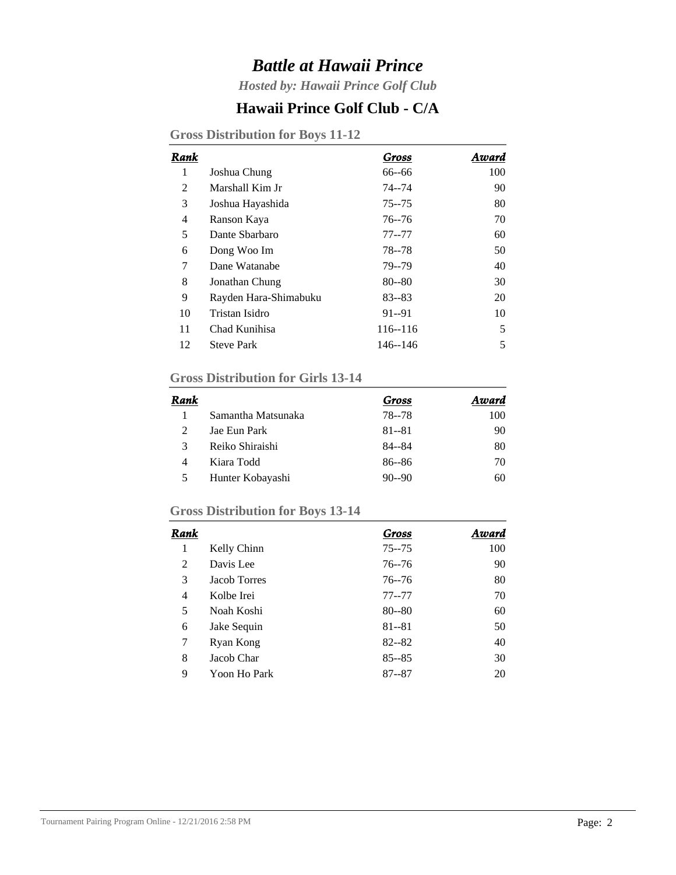# *Battle at Hawaii Prince*

*Hosted by: Hawaii Prince Golf Club*

### **Hawaii Prince Golf Club - C/A**

| Rank |                       | Gross       | Award |
|------|-----------------------|-------------|-------|
| 1    | Joshua Chung          | 66--66      | 100   |
| 2    | Marshall Kim Jr       | $74 - 74$   | 90    |
| 3    | Joshua Hayashida      | $75 - 75$   | 80    |
| 4    | Ranson Kaya           | $76 - 76$   | 70    |
| 5    | Dante Sharbaro        | $77 - 77$   | 60    |
| 6    | Dong Woo Im           | 78 - 78     | 50    |
| 7    | Dane Watanabe         | 79--79      | 40    |
| 8    | Jonathan Chung        | $80 - 80$   | 30    |
| 9    | Rayden Hara-Shimabuku | $83 - 83$   | 20    |
| 10   | Tristan Isidro        | $91 - 91$   | 10    |
| 11   | Chad Kunihisa         | $116 - 116$ | 5     |
| 12   | <b>Steve Park</b>     | 146--146    | 5     |
|      |                       |             |       |

**Gross Distribution for Boys 11-12**

#### **Gross Distribution for Girls 13-14**

| Rank          |                    | Gross     | Award |
|---------------|--------------------|-----------|-------|
|               | Samantha Matsunaka | 78 - 78   | 100   |
| $\mathcal{L}$ | Jae Eun Park       | $81 - 81$ | 90    |
| 3             | Reiko Shiraishi    | $84 - 84$ | 80    |
| 4             | Kiara Todd         | $86 - 86$ | 70    |
|               | Hunter Kobayashi   | $90 - 90$ | 60    |

#### **Gross Distribution for Boys 13-14**

| Rank |                     | Gross     | Award |
|------|---------------------|-----------|-------|
| 1    | Kelly Chinn         | $75 - 75$ | 100   |
| 2    | Davis Lee           | $76 - 76$ | 90    |
| 3    | <b>Jacob Torres</b> | $76 - 76$ | 80    |
| 4    | Kolbe Irei          | $77 - 77$ | 70    |
| 5    | Noah Koshi          | $80 - 80$ | 60    |
| 6    | Jake Sequin         | $81 - 81$ | 50    |
| 7    | Ryan Kong           | $82 - 82$ | 40    |
| 8    | Jacob Char          | $85 - 85$ | 30    |
| 9    | Yoon Ho Park        | $87 - 87$ | 20    |